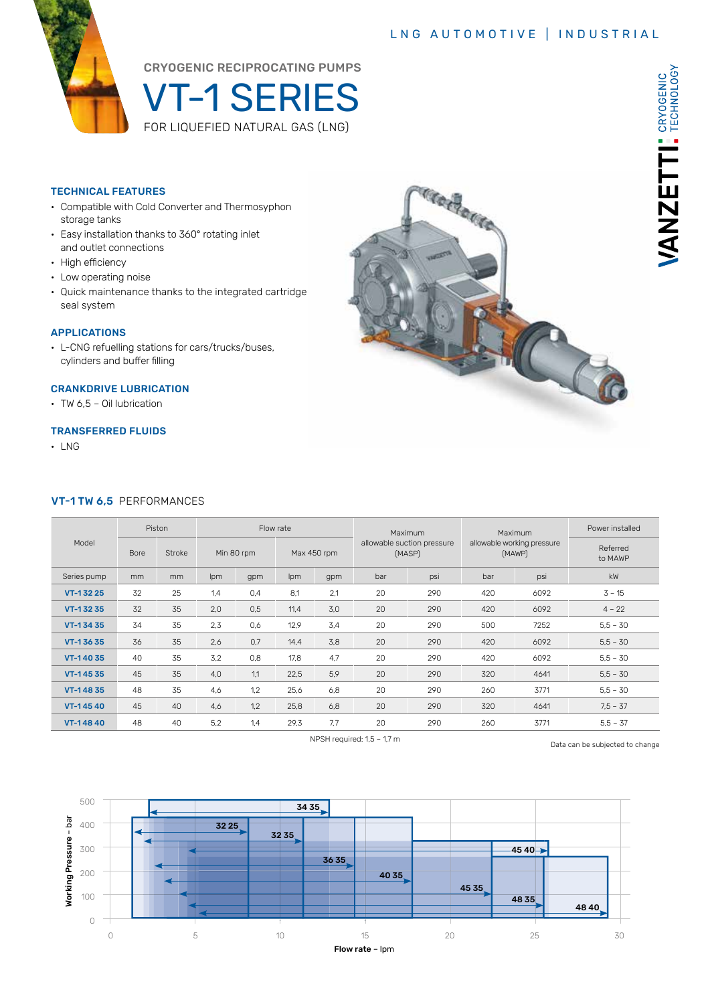### LNG AUTOMOTIVE | INDUSTRIAL

VANZETTI: CRYOGENIC



CRYOGENIC RECIPROCATING PUMPS

VT-1 SERIES FOR LIQUEFIED NATURAL GAS (LNG)

#### TECHNICAL FEATURES

- Compatible with Cold Converter and Thermosyphon storage tanks
- Easy installation thanks to 360° rotating inlet and outlet connections
- High efficiency
- Low operating noise
- Quick maintenance thanks to the integrated cartridge seal system

#### APPLICATIONS

• L-CNG refuelling stations for cars/trucks/buses, cylinders and buffer filling

#### CRANKDRIVE LUBRICATION

• TW 6,5 – Oil lubrication

#### TRANSFERRED FLUIDS

• LNG

#### VT-1 TW 6,5 PERFORMANCES

| Model       | Piston      |        | Flow rate  |     |             |     | Maximum                              |     | Maximum                              |      | Power installed     |
|-------------|-------------|--------|------------|-----|-------------|-----|--------------------------------------|-----|--------------------------------------|------|---------------------|
|             | <b>Bore</b> | Stroke | Min 80 rpm |     | Max 450 rpm |     | allowable suction pressure<br>(MASP) |     | allowable working pressure<br>(MAWP) |      | Referred<br>to MAWP |
| Series pump | mm          | mm     | Ipm        | gpm | lpm         | gpm | bar                                  | psi | bar                                  | psi  | kW                  |
| VT-13225    | 32          | 25     | 1,4        | 0,4 | 8.1         | 2,1 | 20                                   | 290 | 420                                  | 6092 | $3 - 15$            |
| VT-13235    | 32          | 35     | 2,0        | 0,5 | 11,4        | 3,0 | 20                                   | 290 | 420                                  | 6092 | $4 - 22$            |
| VT-13435    | 34          | 35     | 2,3        | 0,6 | 12,9        | 3,4 | 20                                   | 290 | 500                                  | 7252 | $5,5 - 30$          |
| VT-13635    | 36          | 35     | 2,6        | 0,7 | 14,4        | 3,8 | 20                                   | 290 | 420                                  | 6092 | $5,5 - 30$          |
| VT-14035    | 40          | 35     | 3.2        | 0,8 | 17,8        | 4,7 | 20                                   | 290 | 420                                  | 6092 | $5,5 - 30$          |
| VT-14535    | 45          | 35     | 4,0        | 1,1 | 22,5        | 5,9 | 20                                   | 290 | 320                                  | 4641 | $5,5 - 30$          |
| VT-14835    | 48          | 35     | 4,6        | 1,2 | 25,6        | 6,8 | 20                                   | 290 | 260                                  | 3771 | $5,5 - 30$          |
| VT-14540    | 45          | 40     | 4,6        | 1,2 | 25,8        | 6,8 | 20                                   | 290 | 320                                  | 4641 | $7.5 - 37$          |
| VT-14840    | 48          | 40     | 5.2        | 1.4 | 29,3        | 7.7 | 20                                   | 290 | 260                                  | 3771 | $5.5 - 37$          |